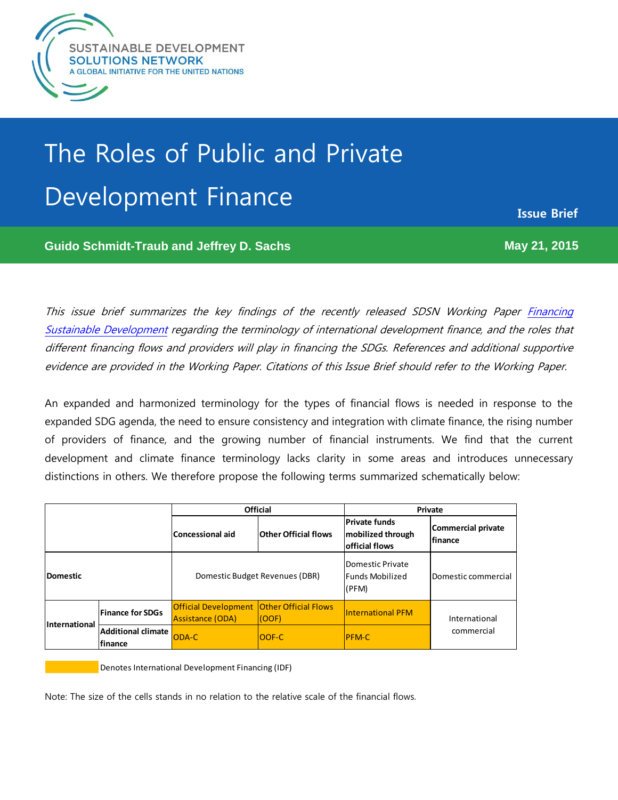

# The Roles of Public and Private The Roles of Public and Private Development Finance Development Finance

**Issue Brief**

**Guido Schmidt-Traub and Jeffrey D. Sachs May 21, 2015 Guido Schmidt-Traub and Jeffrey D. Sachs**

This issue brief summarizes the key findings of the recently released SDSN Working Paper [Financing](http://unsdsn.org/resources/publications/financing/)  [Sustainable Development](http://unsdsn.org/resources/publications/financing/) regarding the terminology of international development finance, and the roles that different financing flows and providers will play in financing the SDGs. References and additional supportive evidence are provided in the Working Paper. Citations of this Issue Brief should refer to the Working Paper.

An expanded and harmonized terminology for the types of financial flows is needed in response to the expanded SDG agenda, the need to ensure consistency and integration with climate finance, the rising number of providers of finance, and the growing number of financial instruments. We find that the current development and climate finance terminology lacks clarity in some areas and introduces unnecessary distinctions in others. We therefore propose the following terms summarized schematically below:

|                      |                                      | <b>Official</b>                                                             |                             | Private                                                            |                                       |
|----------------------|--------------------------------------|-----------------------------------------------------------------------------|-----------------------------|--------------------------------------------------------------------|---------------------------------------|
|                      |                                      | <b>Concessional aid</b>                                                     | <b>Other Official flows</b> | <b>Private funds</b><br>mobilized through<br><b>official flows</b> | Commercial private<br><b>Ifinance</b> |
| <b>Domestic</b>      |                                      | Domestic Budget Revenues (DBR)                                              |                             | Domestic Private<br><b>Funds Mobilized</b><br>(PFM)                | Domestic commercial                   |
| <b>International</b> | <b>Finance for SDGs</b>              | <b>Official Development Other Official Flows</b><br><b>Assistance (ODA)</b> | (OOF)                       | <b>International PFM</b>                                           | International<br>commercial           |
|                      | <b>Additional climate</b><br>finance | ODA-C                                                                       | OOF-C                       | <b>PFM-C</b>                                                       |                                       |

Denotes International Development Financing (IDF)

Note: The size of the cells stands in no relation to the relative scale of the financial flows.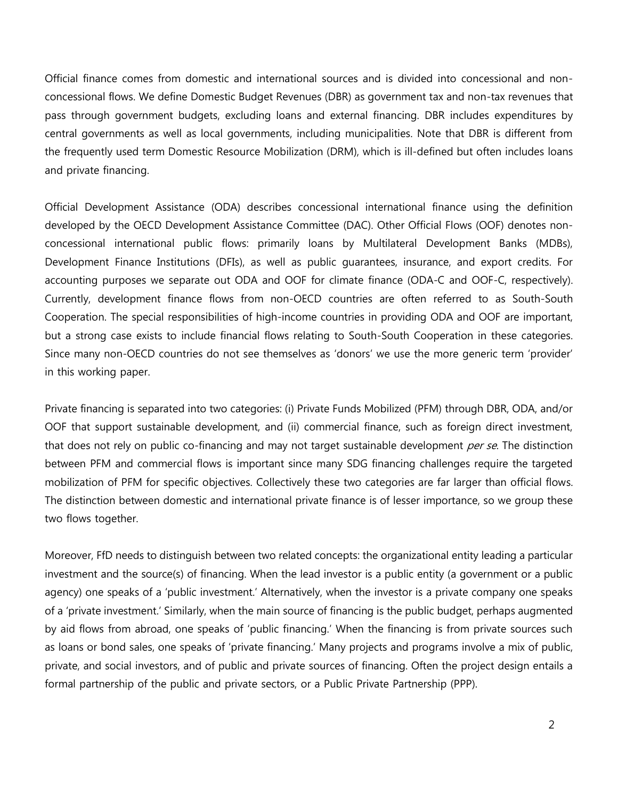Official finance comes from domestic and international sources and is divided into concessional and nonconcessional flows. We define Domestic Budget Revenues (DBR) as government tax and non-tax revenues that pass through government budgets, excluding loans and external financing. DBR includes expenditures by central governments as well as local governments, including municipalities. Note that DBR is different from the frequently used term Domestic Resource Mobilization (DRM), which is ill-defined but often includes loans and private financing.

Official Development Assistance (ODA) describes concessional international finance using the definition developed by the OECD Development Assistance Committee (DAC). Other Official Flows (OOF) denotes nonconcessional international public flows: primarily loans by Multilateral Development Banks (MDBs), Development Finance Institutions (DFIs), as well as public guarantees, insurance, and export credits. For accounting purposes we separate out ODA and OOF for climate finance (ODA-C and OOF-C, respectively). Currently, development finance flows from non-OECD countries are often referred to as South-South Cooperation. The special responsibilities of high-income countries in providing ODA and OOF are important, but a strong case exists to include financial flows relating to South-South Cooperation in these categories. Since many non-OECD countries do not see themselves as 'donors' we use the more generic term 'provider' in this working paper.

Private financing is separated into two categories: (i) Private Funds Mobilized (PFM) through DBR, ODA, and/or OOF that support sustainable development, and (ii) commercial finance, such as foreign direct investment, that does not rely on public co-financing and may not target sustainable development *per se*. The distinction between PFM and commercial flows is important since many SDG financing challenges require the targeted mobilization of PFM for specific objectives. Collectively these two categories are far larger than official flows. The distinction between domestic and international private finance is of lesser importance, so we group these two flows together.

Moreover, FfD needs to distinguish between two related concepts: the organizational entity leading a particular investment and the source(s) of financing. When the lead investor is a public entity (a government or a public agency) one speaks of a 'public investment.' Alternatively, when the investor is a private company one speaks of a 'private investment.' Similarly, when the main source of financing is the public budget, perhaps augmented by aid flows from abroad, one speaks of 'public financing.' When the financing is from private sources such as loans or bond sales, one speaks of 'private financing.' Many projects and programs involve a mix of public, private, and social investors, and of public and private sources of financing. Often the project design entails a formal partnership of the public and private sectors, or a Public Private Partnership (PPP).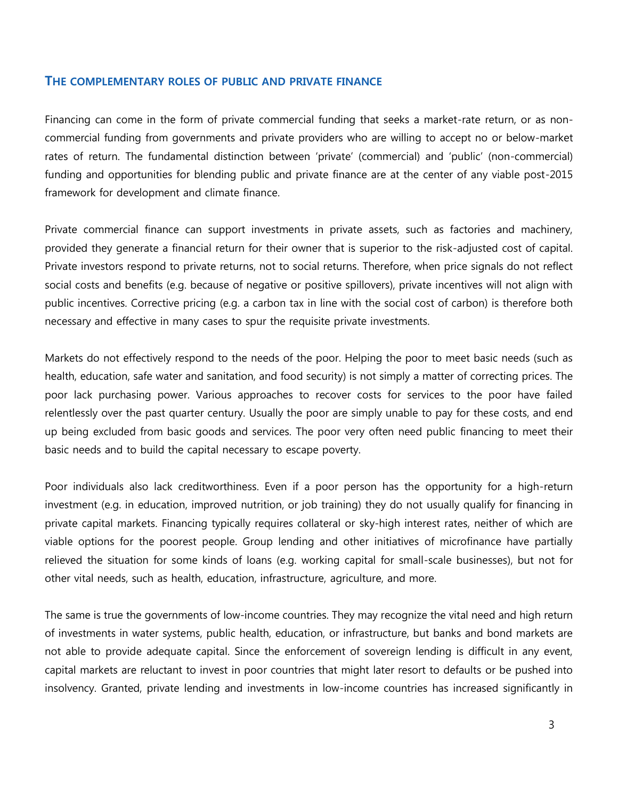#### **THE COMPLEMENTARY ROLES OF PUBLIC AND PRIVATE FINANCE**

Financing can come in the form of private commercial funding that seeks a market-rate return, or as noncommercial funding from governments and private providers who are willing to accept no or below-market rates of return. The fundamental distinction between 'private' (commercial) and 'public' (non-commercial) funding and opportunities for blending public and private finance are at the center of any viable post-2015 framework for development and climate finance.

Private commercial finance can support investments in private assets, such as factories and machinery, provided they generate a financial return for their owner that is superior to the risk-adjusted cost of capital. Private investors respond to private returns, not to social returns. Therefore, when price signals do not reflect social costs and benefits (e.g. because of negative or positive spillovers), private incentives will not align with public incentives. Corrective pricing (e.g. a carbon tax in line with the social cost of carbon) is therefore both necessary and effective in many cases to spur the requisite private investments.

Markets do not effectively respond to the needs of the poor. Helping the poor to meet basic needs (such as health, education, safe water and sanitation, and food security) is not simply a matter of correcting prices. The poor lack purchasing power. Various approaches to recover costs for services to the poor have failed relentlessly over the past quarter century. Usually the poor are simply unable to pay for these costs, and end up being excluded from basic goods and services. The poor very often need public financing to meet their basic needs and to build the capital necessary to escape poverty.

Poor individuals also lack creditworthiness. Even if a poor person has the opportunity for a high-return investment (e.g. in education, improved nutrition, or job training) they do not usually qualify for financing in private capital markets. Financing typically requires collateral or sky-high interest rates, neither of which are viable options for the poorest people. Group lending and other initiatives of microfinance have partially relieved the situation for some kinds of loans (e.g. working capital for small-scale businesses), but not for other vital needs, such as health, education, infrastructure, agriculture, and more.

The same is true the governments of low-income countries. They may recognize the vital need and high return of investments in water systems, public health, education, or infrastructure, but banks and bond markets are not able to provide adequate capital. Since the enforcement of sovereign lending is difficult in any event, capital markets are reluctant to invest in poor countries that might later resort to defaults or be pushed into insolvency. Granted, private lending and investments in low-income countries has increased significantly in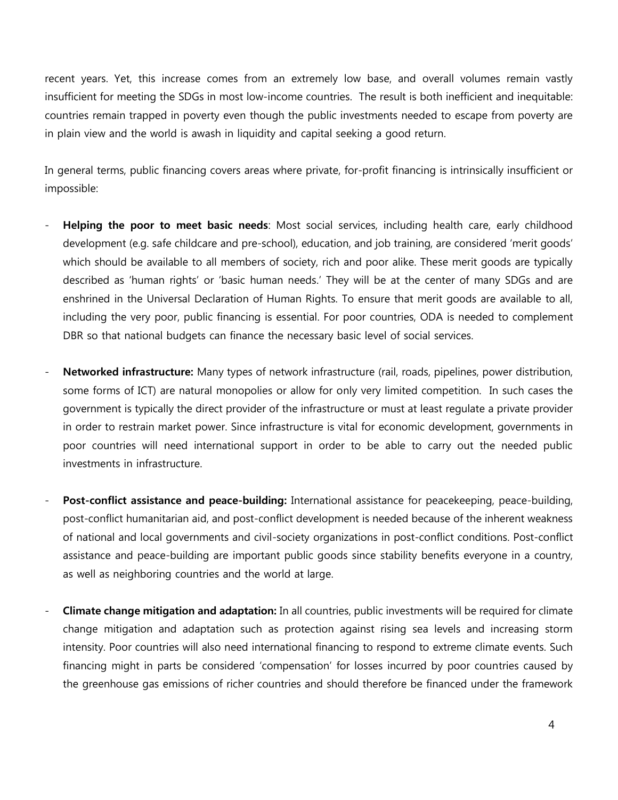recent years. Yet, this increase comes from an extremely low base, and overall volumes remain vastly insufficient for meeting the SDGs in most low-income countries. The result is both inefficient and inequitable: countries remain trapped in poverty even though the public investments needed to escape from poverty are in plain view and the world is awash in liquidity and capital seeking a good return.

In general terms, public financing covers areas where private, for-profit financing is intrinsically insufficient or impossible:

- **Helping the poor to meet basic needs**: Most social services, including health care, early childhood development (e.g. safe childcare and pre-school), education, and job training, are considered 'merit goods' which should be available to all members of society, rich and poor alike. These merit goods are typically described as 'human rights' or 'basic human needs.' They will be at the center of many SDGs and are enshrined in the Universal Declaration of Human Rights. To ensure that merit goods are available to all, including the very poor, public financing is essential. For poor countries, ODA is needed to complement DBR so that national budgets can finance the necessary basic level of social services.
- **Networked infrastructure:** Many types of network infrastructure (rail, roads, pipelines, power distribution, some forms of ICT) are natural monopolies or allow for only very limited competition. In such cases the government is typically the direct provider of the infrastructure or must at least regulate a private provider in order to restrain market power. Since infrastructure is vital for economic development, governments in poor countries will need international support in order to be able to carry out the needed public investments in infrastructure.
- **Post-conflict assistance and peace-building:** International assistance for peacekeeping, peace-building, post-conflict humanitarian aid, and post-conflict development is needed because of the inherent weakness of national and local governments and civil-society organizations in post-conflict conditions. Post-conflict assistance and peace-building are important public goods since stability benefits everyone in a country, as well as neighboring countries and the world at large.
- **Climate change mitigation and adaptation:** In all countries, public investments will be required for climate change mitigation and adaptation such as protection against rising sea levels and increasing storm intensity. Poor countries will also need international financing to respond to extreme climate events. Such financing might in parts be considered 'compensation' for losses incurred by poor countries caused by the greenhouse gas emissions of richer countries and should therefore be financed under the framework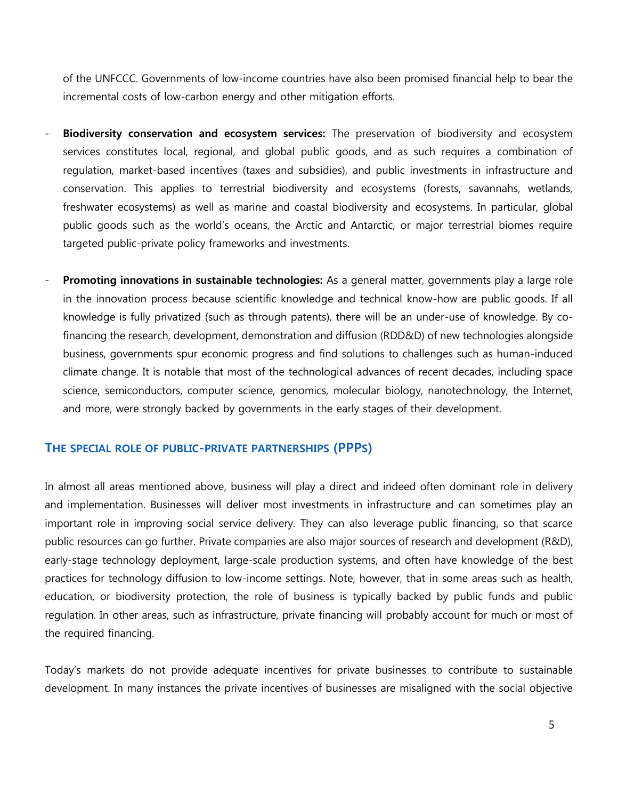of the UNFCCC. Governments of low-income countries have also been promised financial help to bear the incremental costs of low-carbon energy and other mitigation efforts.

- **Biodiversity conservation and ecosystem services:** The preservation of biodiversity and ecosystem services constitutes local, regional, and global public goods, and as such requires a combination of regulation, market-based incentives (taxes and subsidies), and public investments in infrastructure and conservation. This applies to terrestrial biodiversity and ecosystems (forests, savannahs, wetlands, freshwater ecosystems) as well as marine and coastal biodiversity and ecosystems. In particular, global public goods such as the world's oceans, the Arctic and Antarctic, or major terrestrial biomes require targeted public-private policy frameworks and investments.
- **Promoting innovations in sustainable technologies:** As a general matter, governments play a large role in the innovation process because scientific knowledge and technical know-how are public goods. If all knowledge is fully privatized (such as through patents), there will be an under-use of knowledge. By cofinancing the research, development, demonstration and diffusion (RDD&D) of new technologies alongside business, governments spur economic progress and find solutions to challenges such as human-induced climate change. It is notable that most of the technological advances of recent decades, including space science, semiconductors, computer science, genomics, molecular biology, nanotechnology, the Internet, and more, were strongly backed by governments in the early stages of their development.

### **THE SPECIAL ROLE OF PUBLIC-PRIVATE PARTNERSHIPS (PPPS)**

In almost all areas mentioned above, business will play a direct and indeed often dominant role in delivery and implementation. Businesses will deliver most investments in infrastructure and can sometimes play an important role in improving social service delivery. They can also leverage public financing, so that scarce public resources can go further. Private companies are also major sources of research and development (R&D), early-stage technology deployment, large-scale production systems, and often have knowledge of the best practices for technology diffusion to low-income settings. Note, however, that in some areas such as health, education, or biodiversity protection, the role of business is typically backed by public funds and public regulation. In other areas, such as infrastructure, private financing will probably account for much or most of the required financing.

Today's markets do not provide adequate incentives for private businesses to contribute to sustainable development. In many instances the private incentives of businesses are misaligned with the social objective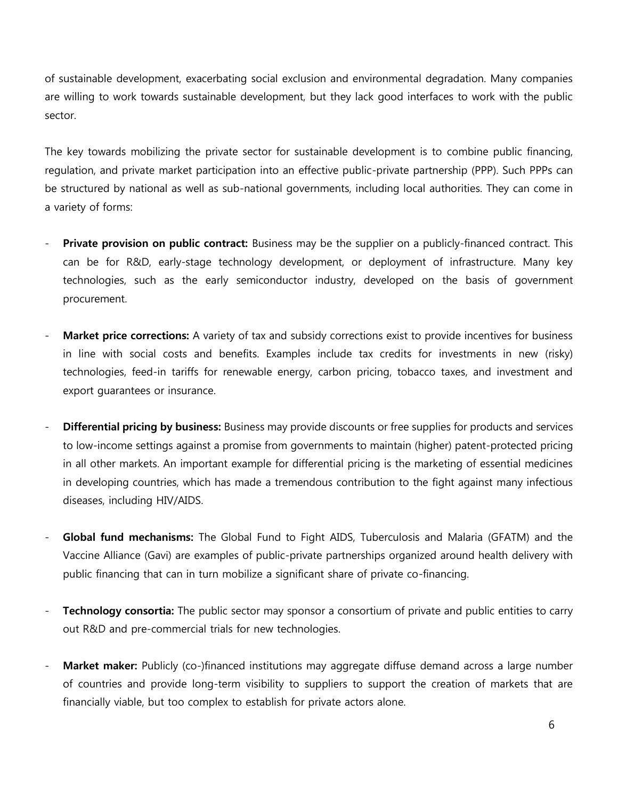of sustainable development, exacerbating social exclusion and environmental degradation. Many companies are willing to work towards sustainable development, but they lack good interfaces to work with the public sector.

The key towards mobilizing the private sector for sustainable development is to combine public financing, regulation, and private market participation into an effective public-private partnership (PPP). Such PPPs can be structured by national as well as sub-national governments, including local authorities. They can come in a variety of forms:

- **Private provision on public contract:** Business may be the supplier on a publicly-financed contract. This can be for R&D, early-stage technology development, or deployment of infrastructure. Many key technologies, such as the early semiconductor industry, developed on the basis of government procurement.
- **Market price corrections:** A variety of tax and subsidy corrections exist to provide incentives for business in line with social costs and benefits. Examples include tax credits for investments in new (risky) technologies, feed-in tariffs for renewable energy, carbon pricing, tobacco taxes, and investment and export guarantees or insurance.
- **Differential pricing by business:** Business may provide discounts or free supplies for products and services to low-income settings against a promise from governments to maintain (higher) patent-protected pricing in all other markets. An important example for differential pricing is the marketing of essential medicines in developing countries, which has made a tremendous contribution to the fight against many infectious diseases, including HIV/AIDS.
- **Global fund mechanisms:** The Global Fund to Fight AIDS, Tuberculosis and Malaria (GFATM) and the Vaccine Alliance (Gavi) are examples of public-private partnerships organized around health delivery with public financing that can in turn mobilize a significant share of private co-financing.
- **Technology consortia:** The public sector may sponsor a consortium of private and public entities to carry out R&D and pre-commercial trials for new technologies.
- **Market maker:** Publicly (co-)financed institutions may aggregate diffuse demand across a large number of countries and provide long-term visibility to suppliers to support the creation of markets that are financially viable, but too complex to establish for private actors alone.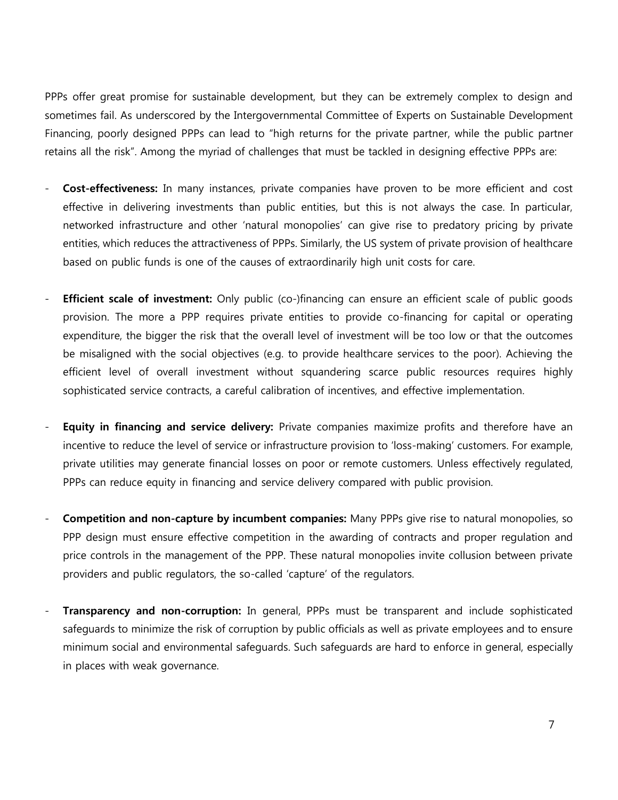PPPs offer great promise for sustainable development, but they can be extremely complex to design and sometimes fail. As underscored by the Intergovernmental Committee of Experts on Sustainable Development Financing, poorly designed PPPs can lead to "high returns for the private partner, while the public partner retains all the risk". Among the myriad of challenges that must be tackled in designing effective PPPs are:

- **Cost-effectiveness:** In many instances, private companies have proven to be more efficient and cost effective in delivering investments than public entities, but this is not always the case. In particular, networked infrastructure and other 'natural monopolies' can give rise to predatory pricing by private entities, which reduces the attractiveness of PPPs. Similarly, the US system of private provision of healthcare based on public funds is one of the causes of extraordinarily high unit costs for care.
- **Efficient scale of investment:** Only public (co-)financing can ensure an efficient scale of public goods provision. The more a PPP requires private entities to provide co-financing for capital or operating expenditure, the bigger the risk that the overall level of investment will be too low or that the outcomes be misaligned with the social objectives (e.g. to provide healthcare services to the poor). Achieving the efficient level of overall investment without squandering scarce public resources requires highly sophisticated service contracts, a careful calibration of incentives, and effective implementation.
- Equity in financing and service delivery: Private companies maximize profits and therefore have an incentive to reduce the level of service or infrastructure provision to 'loss-making' customers. For example, private utilities may generate financial losses on poor or remote customers. Unless effectively regulated, PPPs can reduce equity in financing and service delivery compared with public provision.
- **Competition and non-capture by incumbent companies:** Many PPPs give rise to natural monopolies, so PPP design must ensure effective competition in the awarding of contracts and proper regulation and price controls in the management of the PPP. These natural monopolies invite collusion between private providers and public regulators, the so-called 'capture' of the regulators.
- **Transparency and non-corruption:** In general, PPPs must be transparent and include sophisticated safeguards to minimize the risk of corruption by public officials as well as private employees and to ensure minimum social and environmental safeguards. Such safeguards are hard to enforce in general, especially in places with weak governance.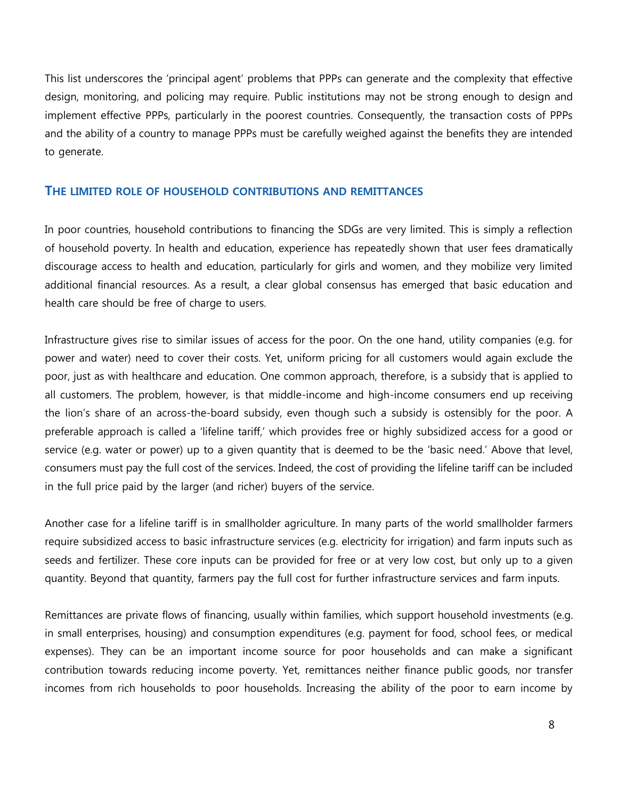This list underscores the 'principal agent' problems that PPPs can generate and the complexity that effective design, monitoring, and policing may require. Public institutions may not be strong enough to design and implement effective PPPs, particularly in the poorest countries. Consequently, the transaction costs of PPPs and the ability of a country to manage PPPs must be carefully weighed against the benefits they are intended to generate.

## **THE LIMITED ROLE OF HOUSEHOLD CONTRIBUTIONS AND REMITTANCES**

In poor countries, household contributions to financing the SDGs are very limited. This is simply a reflection of household poverty. In health and education, experience has repeatedly shown that user fees dramatically discourage access to health and education, particularly for girls and women, and they mobilize very limited additional financial resources. As a result, a clear global consensus has emerged that basic education and health care should be free of charge to users.

Infrastructure gives rise to similar issues of access for the poor. On the one hand, utility companies (e.g. for power and water) need to cover their costs. Yet, uniform pricing for all customers would again exclude the poor, just as with healthcare and education. One common approach, therefore, is a subsidy that is applied to all customers. The problem, however, is that middle-income and high-income consumers end up receiving the lion's share of an across-the-board subsidy, even though such a subsidy is ostensibly for the poor. A preferable approach is called a 'lifeline tariff,' which provides free or highly subsidized access for a good or service (e.g. water or power) up to a given quantity that is deemed to be the 'basic need.' Above that level, consumers must pay the full cost of the services. Indeed, the cost of providing the lifeline tariff can be included in the full price paid by the larger (and richer) buyers of the service.

Another case for a lifeline tariff is in smallholder agriculture. In many parts of the world smallholder farmers require subsidized access to basic infrastructure services (e.g. electricity for irrigation) and farm inputs such as seeds and fertilizer. These core inputs can be provided for free or at very low cost, but only up to a given quantity. Beyond that quantity, farmers pay the full cost for further infrastructure services and farm inputs.

Remittances are private flows of financing, usually within families, which support household investments (e.g. in small enterprises, housing) and consumption expenditures (e.g. payment for food, school fees, or medical expenses). They can be an important income source for poor households and can make a significant contribution towards reducing income poverty. Yet, remittances neither finance public goods, nor transfer incomes from rich households to poor households. Increasing the ability of the poor to earn income by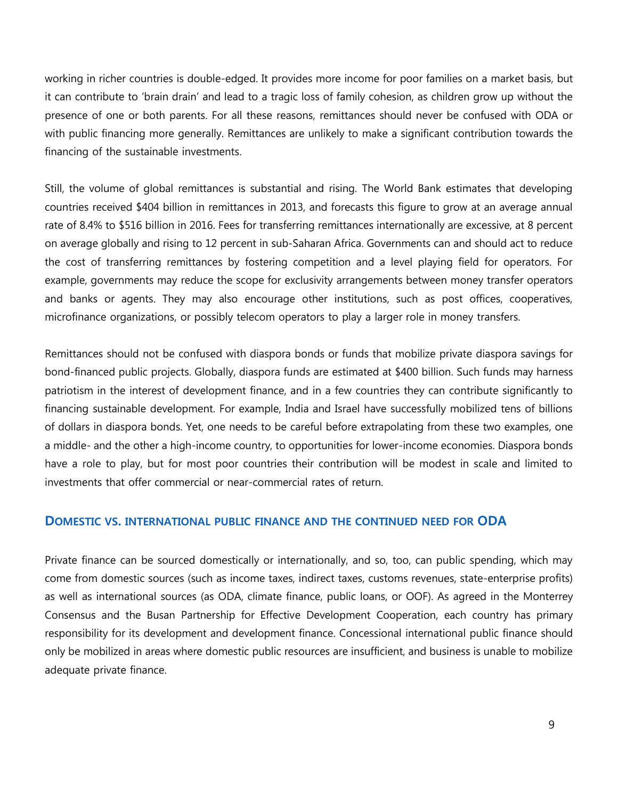working in richer countries is double-edged. It provides more income for poor families on a market basis, but it can contribute to 'brain drain' and lead to a tragic loss of family cohesion, as children grow up without the presence of one or both parents. For all these reasons, remittances should never be confused with ODA or with public financing more generally. Remittances are unlikely to make a significant contribution towards the financing of the sustainable investments.

Still, the volume of global remittances is substantial and rising. The World Bank estimates that developing countries received \$404 billion in remittances in 2013, and forecasts this figure to grow at an average annual rate of 8.4% to \$516 billion in 2016. Fees for transferring remittances internationally are excessive, at 8 percent on average globally and rising to 12 percent in sub-Saharan Africa. Governments can and should act to reduce the cost of transferring remittances by fostering competition and a level playing field for operators. For example, governments may reduce the scope for exclusivity arrangements between money transfer operators and banks or agents. They may also encourage other institutions, such as post offices, cooperatives, microfinance organizations, or possibly telecom operators to play a larger role in money transfers.

Remittances should not be confused with diaspora bonds or funds that mobilize private diaspora savings for bond-financed public projects. Globally, diaspora funds are estimated at \$400 billion. Such funds may harness patriotism in the interest of development finance, and in a few countries they can contribute significantly to financing sustainable development. For example, India and Israel have successfully mobilized tens of billions of dollars in diaspora bonds. Yet, one needs to be careful before extrapolating from these two examples, one a middle- and the other a high-income country, to opportunities for lower-income economies. Diaspora bonds have a role to play, but for most poor countries their contribution will be modest in scale and limited to investments that offer commercial or near-commercial rates of return.

### **DOMESTIC VS. INTERNATIONAL PUBLIC FINANCE AND THE CONTINUED NEED FOR ODA**

Private finance can be sourced domestically or internationally, and so, too, can public spending, which may come from domestic sources (such as income taxes, indirect taxes, customs revenues, state-enterprise profits) as well as international sources (as ODA, climate finance, public loans, or OOF). As agreed in the Monterrey Consensus and the Busan Partnership for Effective Development Cooperation, each country has primary responsibility for its development and development finance. Concessional international public finance should only be mobilized in areas where domestic public resources are insufficient, and business is unable to mobilize adequate private finance.